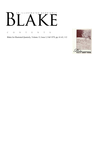# AN ILLUSTRATED QUARTERLY К

C O N T E N T S

Blake/An Illustrated Quarterly, Volume 13, Issue 2, Fall 1979, pp. 61-63, 112

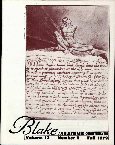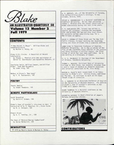

# IAN ILLUSTRATED QUARTERLY SO Volume 13 Number 2 —<br>E~II 1070 **Fall 1979**

### CONTENTS

"A New Heaven is Begun": William Blake and Swedenborgianism by Morton D. Paley, 64

Blake & His Circle: A Checklist of Recent Scholarship by Thomas L. Minnick with the assistance of Detlef W. Doerrbecker and Kazumitsu Watarai, 91

Charlotte Smith, William Cowper, and William Blake: Some New Documents by James King, 100

Method in Blake's "Mad Song" by F. R. Duplantier, 102

#### POETRY

Thanks Newton by Shawn Thompson, 105

#### MINUTE PARTICULARS

South Bounding! by David V. Erdman,'106

Blake's Copy of Lavater's *Aphorisms on Man:* A Correction of G. E. Bentley, Jr. , *Blake Books*  by R. J. Shroyer, 108

Almost Blake by G. E. Rentley, Jr. , 109

The Dean of Morocco=George Cumberland? by Goran Malmqvist, 109

#### NEWSLETTER

© 1979 by Morris Eaves & Morton D. Paley

G. E. BENTLEY, JR. , of the University of Toronto, has edited *William Blake's Writings*, in two volumes, Oxford, 1978.

DETLEF w. DOERRBECKER is a doctoral candidate at Frankfurt University. He has been assisting Thomas L. Minnick with the annual checklists of Blake scholarship during the last three years.

F. R. DUPLANTIER (BA, Tulane) has edited *La Gazette des Aaadiens*, invented the boardgame *Hike* and written the two-act play *Dead Issues.*  He currently writes advertising copy for a New Orleans ad agency.

DAVID v. ERDMAN of Stony Brook and The New York Public Library, is busy revising the Doubleday *Poetry and Prose* of Blake into a complete edition.

JAMES KING is Associate Professor of English, McMaster University. He is the co-editor of the five volume Clarendon Press edition of *The Letters*  and Prose Writings of William Cowper, the first volume of which has just been published. He is now working on a biography of Cowper.

N. G. D. MALMQVIST is Chairman of the Department of Chinese, Stockholm University.

THOMAS L. MINMICK, Assistant Dean of University College at Ohio State, has recently returned from a year's leave of absence as research associate and editorial consultant to Mr. Alex Haley.

MORTON D. PALEY'S most recent book is an introduction to Blake's art : *William Blake*, published by Phaidon. He continues to work on his booklength study of *Jerusalem.* 

R. J. SHROYER is an Associate Professor of English at the University of Western Ontario. His edition of Blake's copy of Lavater's *Aphorisms on Man*  (1788) will appear shortly.

SHAWN THOMPSON is a doctoral candidate at the University of Western Ontario.

KAZUMITSU WATARAI is Head Librarian of Japan's Reitaku University Library.



CONTRIBUTORS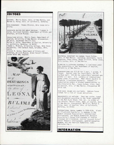## EDITORS

EDITORS: Morris Eaves, Univ. of New Mexico, and Morton D. Paley, Univ. of California, Berkeley.

BIBLIOGRAPHER: Thomas Minnick, Ohio State University.

ASSOCIATE EDITOR FOR GREAT BRITAIN: Frances A. Carey, Assistant Curator, Department of Prints and Drawings, British Museum.

PRODUCTION OFFICE: Morris Eaves, Department of English, University of New Mexico, Albuquerque, NM 87131, TELEPHONE 505/277-3103. Morton D. Paley, Department of English, University of California, Berkeley, CA 94720. Thomas L. Minnick, University College, Ohio State University, 1050 Carmack Road, Columbus, Ohio, 43210. Frances A. Carey, Department of Prints and

Drawings, British Museum, Great Russell Street, London WC1B 3DG, England.





EDITORIAL ASSISTANT IN CHARGE: Susan Corban, Univ. of New Mexico, EDITORIAL ASSISTANTS: David Anderson, Peter Chase, Wayne Erickson, Wendy Jones, Kris Lackey, Univ. of New Mexico.

BLAKE/AN ILLUSTRATED QUARTERLY IS published under the sponsorship of the Department of English, University of New Mexico.

SUBSCRIPTIONS are \$12.00 for 1 year, 1 volume, 4 issues. Special rate for individuals, \$10.00, surface mail. \$15.00 for subscribers overseas who prefer air mail. U.S. currency or international money order if possible. Make checks payable to Blake/An Illustrated Quarterly. Address all subscription orders & related communications to the Circulation Mgr., Susan Corban, *Blake,* Dept. of English, Univ. of New Mexico, Albuquerque NM 87131 USA.

Some BACK ISSUES are available. Address Susan Corban for a list of issues and prices.

MANUSCRIPTS are welcome. Send two copies, typed and documented according to the forms suggested in the MLA Style Sheet, 2nd. ed. , to either of the editors: Morris Eaves, Dept. of English, Univ. of New Mexico, Albuquerque, NM 87131; Morton D. Paley, Dept. of English, Univ. of California, Berkeley, CA 94720.

INTERNATIONAL SERIAL NUMBER is 0Q06-453X. Blake/ An Illustrated Quarterly, is INDEXED in the Modern Language Association's International Bibliography, the Modern Humanities Research Association's Annual Bibliography of English Language and Literature, *English Language Notes'*  annual Romantic bibliography, ARTbibliographies MODERN, and the American Humanities Index (Whitston Pub.).

INFORMATION